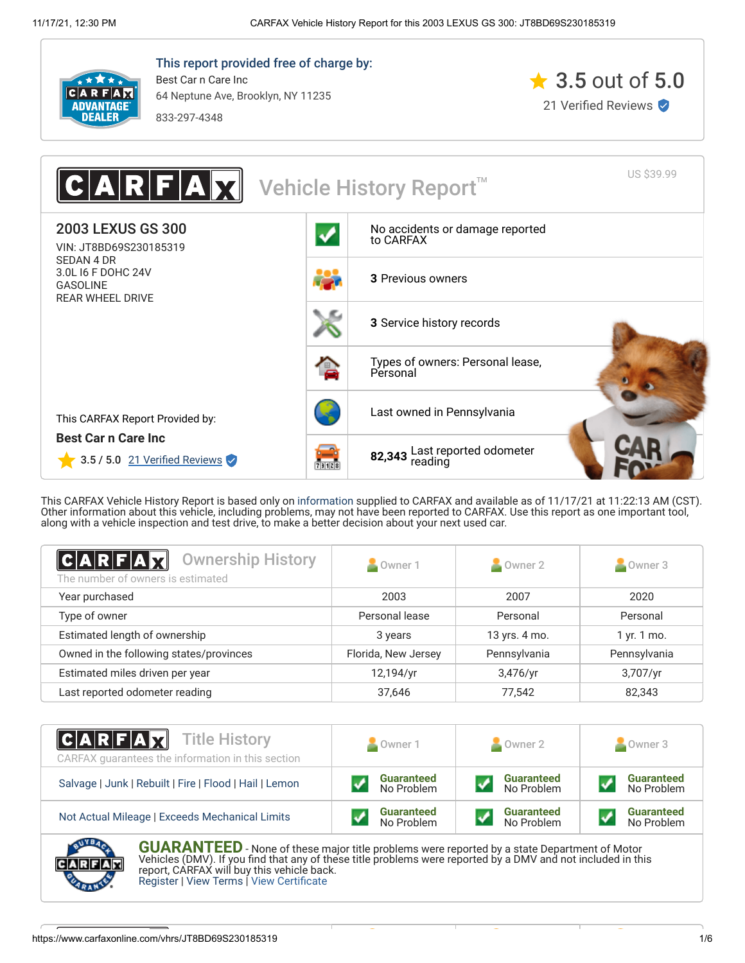

This report provided free of charge by: Best Car n Care Inc 64 Neptune Ave, Brooklyn, NY 11235

833-297-4348





This CARFAX Vehicle History Report is based only on [information](http://www.carfax.com/company/vhr-data-sources) supplied to CARFAX and available as of 11/17/21 at 11:22:13 AM (CST). Other information about this vehicle, including problems, may not have been reported to CARFAX. Use this report as one important tool, along with a vehicle inspection and test drive, to make a better decision about your next used car.

<span id="page-0-1"></span>

| $ {\bf C} {\bf A} {\bf R} $ f $ {\bf A} $ $ {\bf R} $<br><b>Ownership History</b><br>The number of owners is estimated | Owner 1             | Owner 2       | Owner 3      |
|------------------------------------------------------------------------------------------------------------------------|---------------------|---------------|--------------|
| Year purchased                                                                                                         | 2003                | 2007          | 2020         |
| Type of owner                                                                                                          | Personal lease      | Personal      | Personal     |
| Estimated length of ownership                                                                                          | 3 years             | 13 yrs. 4 mo. | 1 yr. 1 mo.  |
| Owned in the following states/provinces                                                                                | Florida, New Jersey | Pennsylvania  | Pennsylvania |
| Estimated miles driven per year                                                                                        | 12,194/yr           | $3,476$ /yr   | 3,707/yr     |
| Last reported odometer reading                                                                                         | 37,646              | 77,542        | 82,343       |

| <b>CARFAX</b> Title History<br>CARFAX quarantees the information in this section | Owner 1           | Owner 2           | Owner 3           |
|----------------------------------------------------------------------------------|-------------------|-------------------|-------------------|
| Salvage   Junk   Rebuilt   Fire   Flood   Hail   Lemon                           | <b>Guaranteed</b> | <b>Guaranteed</b> | <b>Guaranteed</b> |
|                                                                                  | No Problem        | No Problem        | No Problem        |
| Not Actual Mileage   Exceeds Mechanical Limits                                   | <b>Guaranteed</b> | <b>Guaranteed</b> | <b>Guaranteed</b> |
|                                                                                  | No Problem        | No Problem        | No Problem        |

<span id="page-0-0"></span>

**GUARANTEED** - None of these major title problems were reported by a state Department of Motor Vehicles (DMV). If you find that any of these title problems were reported by a DMV and not included in this report, CARFAX will buy this vehicle back. [Register](https://www.carfax.com/Service/bbg) | [View Terms](http://www.carfaxonline.com/legal/bbgTerms) | [View Certificate](https://www.carfaxonline.com/vhrs/JT8BD69S230185319)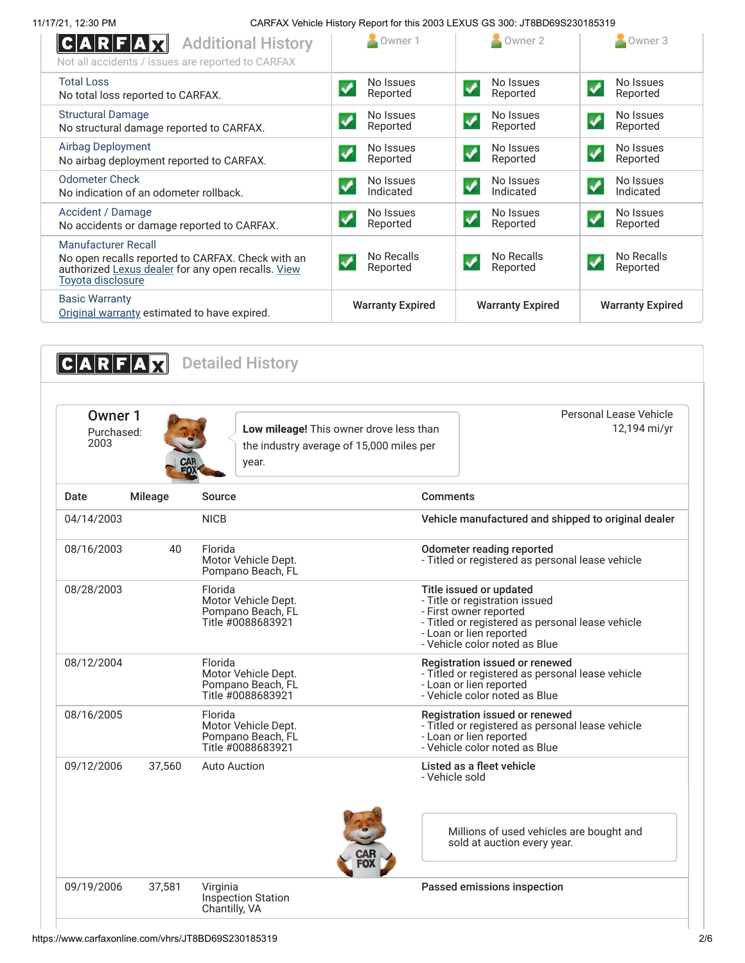| C A R F A X<br><b>Additional History</b><br>Not all accidents / issues are reported to CARFAX                                                              | Owner 1                                        | Owner 2                                              | $\triangle$ Owner 3                              |
|------------------------------------------------------------------------------------------------------------------------------------------------------------|------------------------------------------------|------------------------------------------------------|--------------------------------------------------|
| <b>Total Loss</b><br>No total loss reported to CARFAX.                                                                                                     | No Issues<br>Reported                          | No Issues<br>$\boldsymbol{\mathcal{J}}$<br>Reported  | No Issues<br>✔<br>Reported                       |
| <b>Structural Damage</b><br>No structural damage reported to CARFAX.                                                                                       | No Issues<br>Reported                          | No Issues<br>$\blacktriangledown$<br>Reported        | No Issues<br>$\blacktriangledown$<br>Reported    |
| <b>Airbag Deployment</b><br>No airbag deployment reported to CARFAX.                                                                                       | No Issues<br>Reported                          | No Issues<br>$\blacklozenge$<br>Reported             | No Issues<br>$\overline{\mathbf{v}}$<br>Reported |
| <b>Odometer Check</b><br>No indication of an odometer rollback.                                                                                            | No Issues<br>Indicated                         | No Issues<br>✔<br>Indicated                          | No Issues<br>↵<br>Indicated                      |
| Accident / Damage<br>No accidents or damage reported to CARFAX.                                                                                            | No Issues<br>Reported                          | No Issues<br>$\boldsymbol{\mathcal{J}}$<br>Reported  | No Issues<br>$\boldsymbol{v}$<br>Reported        |
| <b>Manufacturer Recall</b><br>No open recalls reported to CARFAX. Check with an<br>authorized Lexus dealer for any open recalls. View<br>Toyota disclosure | No Recalls<br>$\blacktriangledown$<br>Reported | No Recalls<br>$\boldsymbol{\mathcal{N}}$<br>Reported | No Recalls<br>Reported                           |
| <b>Basic Warranty</b><br>Original warranty estimated to have expired.                                                                                      | <b>Warranty Expired</b>                        | <b>Warranty Expired</b>                              | <b>Warranty Expired</b>                          |

<span id="page-1-0"></span>

| Owner 1<br>Purchased:<br>2003 |         | Low mileage! This owner drove less than<br>the industry average of 15,000 miles per<br>year. | Personal Lease Vehicle<br>12,194 mi/yr                                                                                                                                                              |
|-------------------------------|---------|----------------------------------------------------------------------------------------------|-----------------------------------------------------------------------------------------------------------------------------------------------------------------------------------------------------|
| Date                          | Mileage | Source                                                                                       | <b>Comments</b>                                                                                                                                                                                     |
| 04/14/2003                    |         | <b>NICB</b>                                                                                  | Vehicle manufactured and shipped to original dealer                                                                                                                                                 |
| 08/16/2003                    | 40      | Florida<br>Motor Vehicle Dept.<br>Pompano Beach, FL                                          | Odometer reading reported<br>- Titled or registered as personal lease vehicle                                                                                                                       |
| 08/28/2003                    |         | Florida<br>Motor Vehicle Dept.<br>Pompano Beach, FL<br>Title #0088683921                     | Title issued or updated<br>- Title or registration issued<br>- First owner reported<br>- Titled or registered as personal lease vehicle<br>- Loan or lien reported<br>- Vehicle color noted as Blue |
| 08/12/2004                    |         | Florida<br>Motor Vehicle Dept.<br>Pompano Beach, FL<br>Title #0088683921                     | Registration issued or renewed<br>- Titled or registered as personal lease vehicle<br>- Loan or lien reported<br>- Vehicle color noted as Blue                                                      |
| 08/16/2005                    |         | Florida<br>Motor Vehicle Dept.<br>Pompano Beach, FL<br>Title #0088683921                     | Registration issued or renewed<br>- Titled or registered as personal lease vehicle<br>- Loan or lien reported<br>- Vehicle color noted as Blue                                                      |
| 09/12/2006                    | 37,560  | <b>Auto Auction</b>                                                                          | Listed as a fleet vehicle<br>- Vehicle sold                                                                                                                                                         |
|                               |         |                                                                                              | Millions of used vehicles are bought and<br>sold at auction every year.                                                                                                                             |
| 09/19/2006                    | 37,581  | Virginia<br><b>Inspection Station</b><br>Chantilly, VA                                       | Passed emissions inspection                                                                                                                                                                         |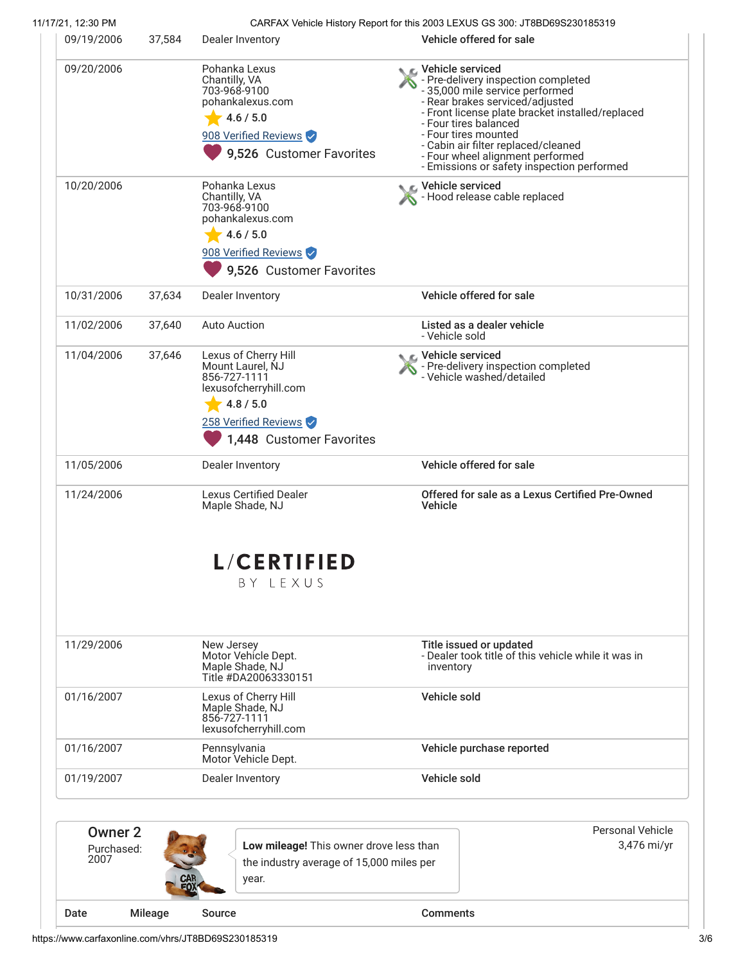|                                      | 37,584 | Dealer Inventory                                                                                                                                   | Vehicle offered for sale                                                                                                                                                                                                                                                                                                                                             |
|--------------------------------------|--------|----------------------------------------------------------------------------------------------------------------------------------------------------|----------------------------------------------------------------------------------------------------------------------------------------------------------------------------------------------------------------------------------------------------------------------------------------------------------------------------------------------------------------------|
| 09/20/2006                           |        | Pohanka Lexus<br>Chantilly, VA<br>703-968-9100<br>pohankalexus.com<br>4.6 / 5.0<br>908 Verified Reviews<br>9,526 Customer Favorites                | <b>€</b> Vehicle serviced<br>- Pre-delivery inspection completed<br>- 35,000 mile service performed<br>- Rear brakes serviced/adjusted<br>- Front license plate bracket installed/replaced<br>- Four tires balanced<br>- Four tires mounted<br>- Cabin air filter replaced/cleaned<br>- Four wheel alignment performed<br>- Emissions or safety inspection performed |
| 10/20/2006                           |        | Pohanka Lexus<br>Chantilly, VA<br>703-968-9100<br>pohankalexus.com<br>4.6 / 5.0<br>908 Verified Reviews<br>9,526 Customer Favorites                | Vehicle serviced<br>- Hood release cable replaced                                                                                                                                                                                                                                                                                                                    |
| 10/31/2006                           | 37,634 | Dealer Inventory                                                                                                                                   | Vehicle offered for sale                                                                                                                                                                                                                                                                                                                                             |
| 11/02/2006                           | 37,640 | <b>Auto Auction</b>                                                                                                                                | Listed as a dealer vehicle<br>- Vehicle sold                                                                                                                                                                                                                                                                                                                         |
| 11/04/2006                           | 37,646 | Lexus of Cherry Hill<br>Mount Laurel, NJ<br>856-727-1111<br>lexusofcherryhill.com<br>4.8 / 5.0<br>258 Verified Reviews<br>1,448 Customer Favorites | Vehicle serviced<br>The-delivery inspection completed<br>Vehicle washed/detailed                                                                                                                                                                                                                                                                                     |
| 11/05/2006                           |        | Dealer Inventory                                                                                                                                   | Vehicle offered for sale                                                                                                                                                                                                                                                                                                                                             |
| 11/24/2006                           |        | <b>Lexus Certified Dealer</b><br>Maple Shade, NJ                                                                                                   | Offered for sale as a Lexus Certified Pre-Owned<br><b>Vehicle</b>                                                                                                                                                                                                                                                                                                    |
|                                      |        | <b>L/CERTIFIED</b><br>BY LEXUS                                                                                                                     |                                                                                                                                                                                                                                                                                                                                                                      |
| 11/29/2006                           |        | New Jersey<br>Motor Vehícle Dept.<br>Maple Shade, NJ                                                                                               | Title issued or updated<br>- Dealer took title of this vehicle while it was in<br>inventory                                                                                                                                                                                                                                                                          |
| 01/16/2007                           |        | Title #DA20063330151<br>Lexus of Cherry Hill<br>Maple Shade, NJ<br>856-727-1111<br>lexusofcherryhill.com                                           | Vehicle sold                                                                                                                                                                                                                                                                                                                                                         |
| 01/16/2007                           |        | Pennsylvania<br>Motor Vehicle Dept.                                                                                                                | Vehicle purchase reported                                                                                                                                                                                                                                                                                                                                            |
| 01/19/2007                           |        | Dealer Inventory                                                                                                                                   | Vehicle sold                                                                                                                                                                                                                                                                                                                                                         |
| <b>Owner 2</b><br>Purchased:<br>2007 |        | Low mileage! This owner drove less than<br>the industry average of 15,000 miles per<br>year.                                                       | <b>Personal Vehicle</b><br>3,476 mi/yr                                                                                                                                                                                                                                                                                                                               |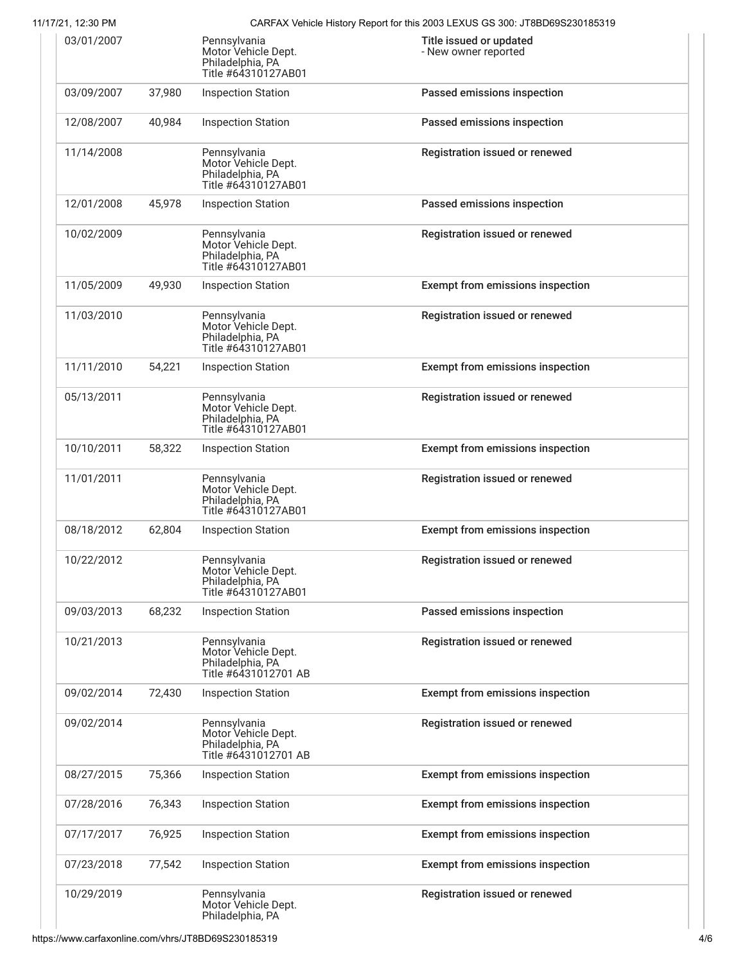| 1772 1, 12.JU FIVI |        |                                                                                 | CAINTAN VEHIClE I IISIOHY NEPOLITIOHIIIIS ZUUJ LEAUJJ GJ JUU. JTODDOSJZJU 10JJ I S |
|--------------------|--------|---------------------------------------------------------------------------------|------------------------------------------------------------------------------------|
| 03/01/2007         |        | Pennsylvania<br>Motor Vehicle Dept.<br>Philadelphia, PA<br>Title #64310127AB01  | Title issued or updated<br>- New owner reported                                    |
| 03/09/2007         | 37,980 | <b>Inspection Station</b>                                                       | Passed emissions inspection                                                        |
| 12/08/2007         | 40,984 | <b>Inspection Station</b>                                                       | Passed emissions inspection                                                        |
| 11/14/2008         |        | Pennsylvania<br>Motor Vehicle Dept.<br>Philadelphia, PA<br>Title #64310127AB01  | Registration issued or renewed                                                     |
| 12/01/2008         | 45,978 | <b>Inspection Station</b>                                                       | Passed emissions inspection                                                        |
| 10/02/2009         |        | Pennsylvania<br>Motor Vehicle Dept.<br>Philadelphia, PA<br>Title #64310127AB01  | Registration issued or renewed                                                     |
| 11/05/2009         | 49,930 | <b>Inspection Station</b>                                                       | <b>Exempt from emissions inspection</b>                                            |
| 11/03/2010         |        | Pennsylvania<br>Motor Vehicle Dept.<br>Philadelphia, PA<br>Title #64310127AB01  | Registration issued or renewed                                                     |
| 11/11/2010         | 54,221 | <b>Inspection Station</b>                                                       | <b>Exempt from emissions inspection</b>                                            |
| 05/13/2011         |        | Pennsylvania<br>Motor Vehicle Dept.<br>Philadelphia, PA<br>Title #64310127AB01  | Registration issued or renewed                                                     |
| 10/10/2011         | 58,322 | <b>Inspection Station</b>                                                       | <b>Exempt from emissions inspection</b>                                            |
| 11/01/2011         |        | Pennsylvania<br>Motor Vehicle Dept.<br>Philadelphia, PA<br>Title #64310127AB01  | Registration issued or renewed                                                     |
| 08/18/2012         | 62,804 | <b>Inspection Station</b>                                                       | <b>Exempt from emissions inspection</b>                                            |
| 10/22/2012         |        | Pennsylvania<br>Motor Vehicle Dept.<br>Philadelphia, PA<br>Title #64310127AB01  | Registration issued or renewed                                                     |
| 09/03/2013         | 68,232 | <b>Inspection Station</b>                                                       | Passed emissions inspection                                                        |
| 10/21/2013         |        | Pennsylvania<br>Motor Vehicle Dept.<br>Philadelphia, PA<br>Title #6431012701 AB | Registration issued or renewed                                                     |
| 09/02/2014         | 72.430 | <b>Inspection Station</b>                                                       | <b>Exempt from emissions inspection</b>                                            |
| 09/02/2014         |        | Pennsylvania<br>Motor Vehicle Dept.<br>Philadelphia, PA<br>Title #6431012701 AB | Registration issued or renewed                                                     |
| 08/27/2015         | 75,366 | <b>Inspection Station</b>                                                       | <b>Exempt from emissions inspection</b>                                            |
| 07/28/2016         | 76,343 | <b>Inspection Station</b>                                                       | <b>Exempt from emissions inspection</b>                                            |
| 07/17/2017         | 76,925 | <b>Inspection Station</b>                                                       | <b>Exempt from emissions inspection</b>                                            |
| 07/23/2018         | 77,542 | <b>Inspection Station</b>                                                       | <b>Exempt from emissions inspection</b>                                            |
| 10/29/2019         |        | Pennsylvania<br>Motor Vehicle Dept.<br>Philadelphia, PA                         | Registration issued or renewed                                                     |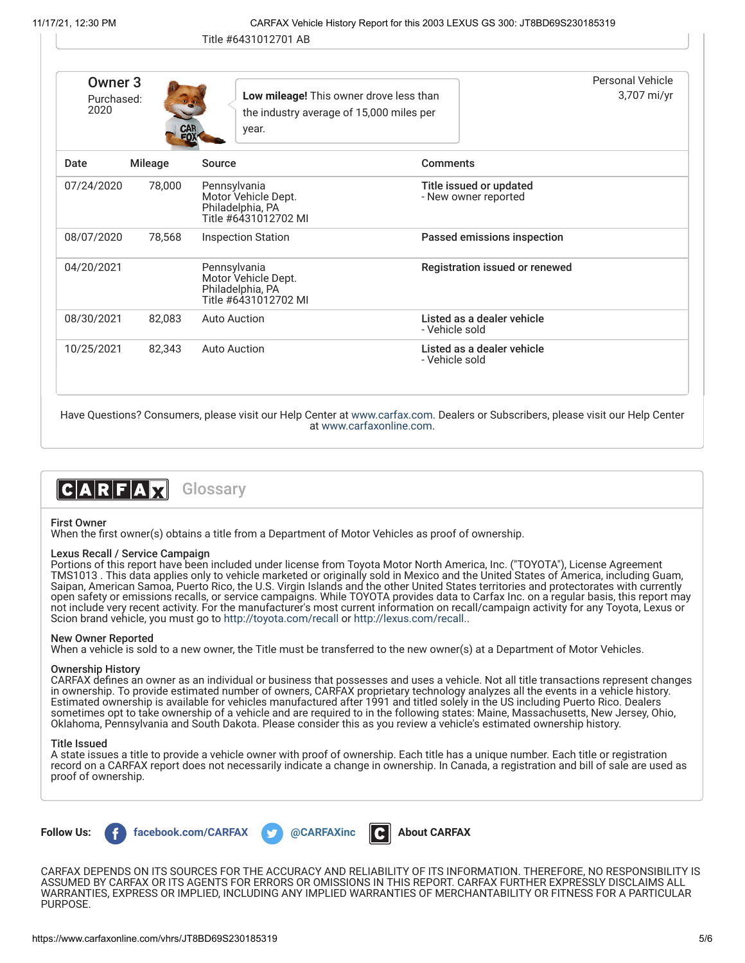| Owner <sub>3</sub> |                |                                                                                              |                                                 | Personal Vehicle |
|--------------------|----------------|----------------------------------------------------------------------------------------------|-------------------------------------------------|------------------|
| Purchased:<br>2020 | <b>CAR</b>     | Low mileage! This owner drove less than<br>the industry average of 15,000 miles per<br>year. |                                                 | 3,707 mi/yr      |
| Date               | <b>Mileage</b> | Source                                                                                       | <b>Comments</b>                                 |                  |
| 07/24/2020         | 78,000         | Pennsylvania<br>Motor Vehicle Dept.<br>Philadelphia, PA<br>Title #6431012702 MI              | Title issued or updated<br>- New owner reported |                  |
| 08/07/2020         | 78,568         | <b>Inspection Station</b>                                                                    | Passed emissions inspection                     |                  |
| 04/20/2021         |                | Pennsylvania<br>Motor Vehicle Dept.<br>Philadelphia, PA<br>Title #6431012702 MI              | Registration issued or renewed                  |                  |
| 08/30/2021         | 82,083         | <b>Auto Auction</b>                                                                          | Listed as a dealer vehicle<br>- Vehicle sold    |                  |
| 10/25/2021         | 82,343         | Auto Auction                                                                                 | Listed as a dealer vehicle<br>- Vehicle sold    |                  |

Have Questions? Consumers, please visit our Help Center at [www.carfax.com](http://www.carfax.com/help). Dealers or Subscribers, please visit our Help Center at [www.carfaxonline.com.](http://www.carfaxonline.com/)



### <span id="page-4-0"></span>First Owner

When the first owner(s) obtains a title from a Department of Motor Vehicles as proof of ownership.

### Lexus Recall / Service Campaign

Portions of this report have been included under license from Toyota Motor North America, Inc. ("TOYOTA"), License Agreement TMS1013 . This data applies only to vehicle marketed or originally sold in Mexico and the United States of America, including Guam, Saipan, American Samoa, Puerto Rico, the U.S. Virgin Islands and the other United States territories and protectorates with currently open safety or emissions recalls, or service campaigns. While TOYOTA provides data to Carfax Inc. on a regular basis, this report may not include very recent activity. For the manufacturer's most current information on recall/campaign activity for any Toyota, Lexus or Scion brand vehicle, you must go to <http://toyota.com/recall>or [http://lexus.com/recall.](http://lexus.com/recall).

# New Owner Reported

When a vehicle is sold to a new owner, the Title must be transferred to the new owner(s) at a Department of Motor Vehicles.

# Ownership History

CARFAX defines an owner as an individual or business that possesses and uses a vehicle. Not all title transactions represent changes in ownership. To provide estimated number of owners, CARFAX proprietary technology analyzes all the events in a vehicle history. Estimated ownership is available for vehicles manufactured after 1991 and titled solely in the US including Puerto Rico. Dealers sometimes opt to take ownership of a vehicle and are required to in the following states: Maine, Massachusetts, New Jersey, Ohio, Oklahoma, Pennsylvania and South Dakota. Please consider this as you review a vehicle's estimated ownership history.

### Title Issued

A state issues a title to provide a vehicle owner with proof of ownership. Each title has a unique number. Each title or registration record on a CARFAX report does not necessarily indicate a change in ownership. In Canada, a registration and bill of sale are used as proof of ownership.



CARFAX DEPENDS ON ITS SOURCES FOR THE ACCURACY AND RELIABILITY OF ITS INFORMATION. THEREFORE, NO RESPONSIBILITY IS ASSUMED BY CARFAX OR ITS AGENTS FOR ERRORS OR OMISSIONS IN THIS REPORT. CARFAX FURTHER EXPRESSLY DISCLAIMS ALL WARRANTIES, EXPRESS OR IMPLIED, INCLUDING ANY IMPLIED WARRANTIES OF MERCHANTABILITY OR FITNESS FOR A PARTICULAR PURPOSE.